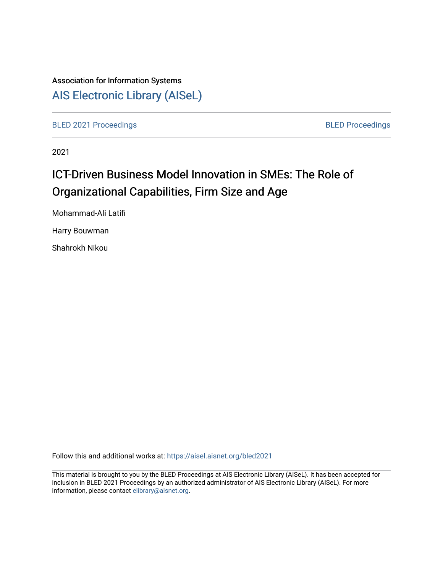## Association for Information Systems [AIS Electronic Library \(AISeL\)](https://aisel.aisnet.org/)

[BLED 2021 Proceedings](https://aisel.aisnet.org/bled2021) **BLED Proceedings** 

2021

# ICT-Driven Business Model Innovation in SMEs: The Role of Organizational Capabilities, Firm Size and Age

Mohammad-Ali Latifi

Harry Bouwman

Shahrokh Nikou

Follow this and additional works at: [https://aisel.aisnet.org/bled2021](https://aisel.aisnet.org/bled2021?utm_source=aisel.aisnet.org%2Fbled2021%2F37&utm_medium=PDF&utm_campaign=PDFCoverPages) 

This material is brought to you by the BLED Proceedings at AIS Electronic Library (AISeL). It has been accepted for inclusion in BLED 2021 Proceedings by an authorized administrator of AIS Electronic Library (AISeL). For more information, please contact [elibrary@aisnet.org.](mailto:elibrary@aisnet.org%3E)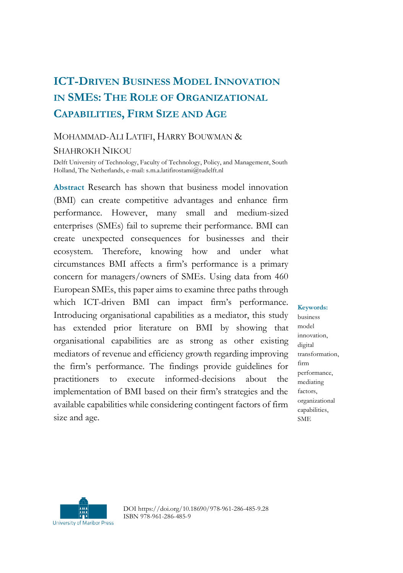## **ICT-DRIVEN BUSINESS MODEL INNOVATION IN SMES: THE ROLE OF ORGANIZATIONAL CAPABILITIES, FIRM SIZE AND AGE**

## MOHAMMAD-ALI LATIFI, HARRY BOUWMAN &

#### SHAHROKH NIKOU

Delft University of Technology, Faculty of Technology, Policy, and Management, South Holland, The Netherlands, e-mail: s.m.a.latifirostami@tudelft.nl

**Abstract** Research has shown that business model innovation (BMI) can create competitive advantages and enhance firm performance. However, many small and medium-sized enterprises (SMEs) fail to supreme their performance. BMI can create unexpected consequences for businesses and their ecosystem. Therefore, knowing how and under what circumstances BMI affects a firm's performance is a primary concern for managers/owners of SMEs. Using data from 460 European SMEs, this paper aims to examine three paths through which ICT-driven BMI can impact firm's performance. Introducing organisational capabilities as a mediator, this study has extended prior literature on BMI by showing that organisational capabilities are as strong as other existing mediators of revenue and efficiency growth regarding improving the firm's performance. The findings provide guidelines for practitioners to execute informed-decisions about the implementation of BMI based on their firm's strategies and the available capabilities while considering contingent factors of firm size and age.

**Keywords:** business model innovation, digital transformation, firm performance, mediating factors, organizational capabilities, SME



DOI https://doi.org/10.18690/978-961-286-485-9.28 ISBN 978-961-286-485-9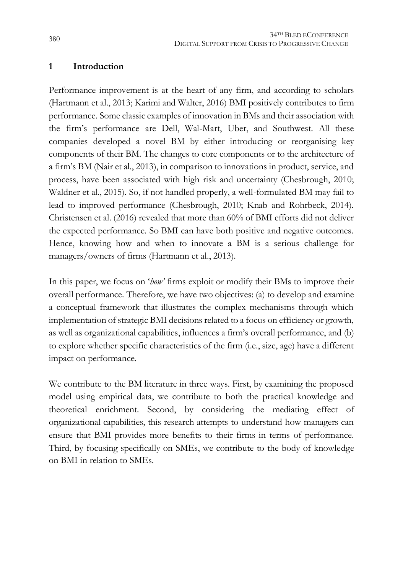## **1 Introduction**

Performance improvement is at the heart of any firm, and according to scholars (Hartmann et al., 2013; Karimi and Walter, 2016) BMI positively contributes to firm performance. Some classic examples of innovation in BMs and their association with the firm's performance are Dell, Wal-Mart, Uber, and Southwest. All these companies developed a novel BM by either introducing or reorganising key components of their BM. The changes to core components or to the architecture of a firm's BM (Nair et al., 2013), in comparison to innovations in product, service, and process, have been associated with high risk and uncertainty (Chesbrough, 2010; Waldner et al., 2015). So, if not handled properly, a well-formulated BM may fail to lead to improved performance (Chesbrough, 2010; Knab and Rohrbeck, 2014). Christensen et al. (2016) revealed that more than 60% of BMI efforts did not deliver the expected performance. So BMI can have both positive and negative outcomes. Hence, knowing how and when to innovate a BM is a serious challenge for managers/owners of firms (Hartmann et al., 2013).

In this paper, we focus on '*how'* firms exploit or modify their BMs to improve their overall performance. Therefore, we have two objectives: (a) to develop and examine a conceptual framework that illustrates the complex mechanisms through which implementation of strategic BMI decisions related to a focus on efficiency or growth, as well as organizational capabilities, influences a firm's overall performance, and (b) to explore whether specific characteristics of the firm (i.e., size, age) have a different impact on performance.

We contribute to the BM literature in three ways. First, by examining the proposed model using empirical data, we contribute to both the practical knowledge and theoretical enrichment. Second, by considering the mediating effect of organizational capabilities, this research attempts to understand how managers can ensure that BMI provides more benefits to their firms in terms of performance. Third, by focusing specifically on SMEs, we contribute to the body of knowledge on BMI in relation to SMEs.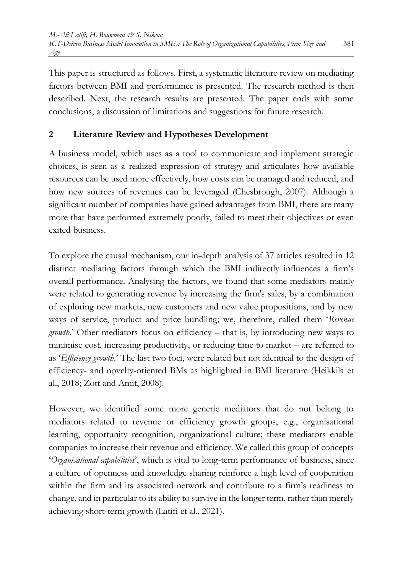This paper is structured as follows. First, a systematic literature review on mediating factors between BMI and performance is presented. The research method is then described. Next, the research results are presented. The paper ends with some conclusions, a discussion of limitations and suggestions for future research.

## **2 Literature Review and Hypotheses Development**

A business model, which uses as a tool to communicate and implement strategic choices, is seen as a realized expression of strategy and articulates how available resources can be used more effectively, how costs can be managed and reduced, and how new sources of revenues can be leveraged (Chesbrough, 2007). Although a significant number of companies have gained advantages from BMI, there are many more that have performed extremely poorly, failed to meet their objectives or even exited business.

To explore the causal mechanism, our in-depth analysis of 37 articles resulted in 12 distinct mediating factors through which the BMI indirectly influences a firm's overall performance. Analysing the factors, we found that some mediators mainly were related to generating revenue by increasing the firm's sales, by a combination of exploring new markets, new customers and new value propositions, and by new ways of service, product and price bundling; we, therefore, called them '*Revenue growth*.' Other mediators focus on efficiency – that is, by introducing new ways to minimise cost, increasing productivity, or reducing time to market – are referred to as '*Efficiency growth*.' The last two foci, were related but not identical to the design of efficiency- and novelty-oriented BMs as highlighted in BMI literature (Heikkila et al., 2018; Zott and Amit, 2008).

However, we identified some more generic mediators that do not belong to mediators related to revenue or efficiency growth groups, e.g., organisational learning, opportunity recognition, organizational culture; these mediators enable companies to increase their revenue and efficiency. We called this group of concepts '*Organisational capabilities*', which is vital to long-term performance of business, since a culture of openness and knowledge sharing reinforce a high level of cooperation within the firm and its associated network and contribute to a firm's readiness to change, and in particular to its ability to survive in the longer term, rather than merely achieving short-term growth (Latifi et al., 2021).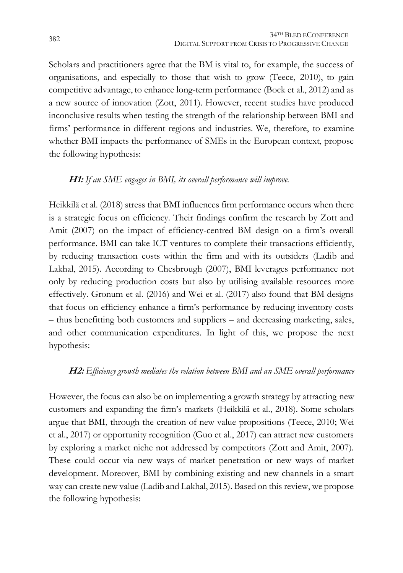Scholars and practitioners agree that the BM is vital to, for example, the success of organisations, and especially to those that wish to grow (Teece, 2010), to gain competitive advantage, to enhance long-term performance (Bock et al., 2012) and as a new source of innovation (Zott, 2011). However, recent studies have produced inconclusive results when testing the strength of the relationship between BMI and firms' performance in different regions and industries. We, therefore, to examine whether BMI impacts the performance of SMEs in the European context, propose the following hypothesis:

## **H1:** *If an SME engages in BMI, its overall performance will improve.*

Heikkilä et al. (2018) stress that BMI influences firm performance occurs when there is a strategic focus on efficiency. Their findings confirm the research by Zott and Amit (2007) on the impact of efficiency-centred BM design on a firm's overall performance. BMI can take ICT ventures to complete their transactions efficiently, by reducing transaction costs within the firm and with its outsiders (Ladib and Lakhal, 2015). According to Chesbrough (2007), BMI leverages performance not only by reducing production costs but also by utilising available resources more effectively. Gronum et al. (2016) and Wei et al. (2017) also found that BM designs that focus on efficiency enhance a firm's performance by reducing inventory costs – thus benefitting both customers and suppliers – and decreasing marketing, sales, and other communication expenditures. In light of this, we propose the next hypothesis:

## **H2:** *Efficiency growth mediates the relation between BMI and an SME overall performance*

However, the focus can also be on implementing a growth strategy by attracting new customers and expanding the firm's markets (Heikkilä et al., 2018). Some scholars argue that BMI, through the creation of new value propositions (Teece, 2010; Wei et al., 2017) or opportunity recognition (Guo et al., 2017) can attract new customers by exploring a market niche not addressed by competitors (Zott and Amit, 2007). These could occur via new ways of market penetration or new ways of market development. Moreover, BMI by combining existing and new channels in a smart way can create new value (Ladib and Lakhal, 2015). Based on this review, we propose the following hypothesis: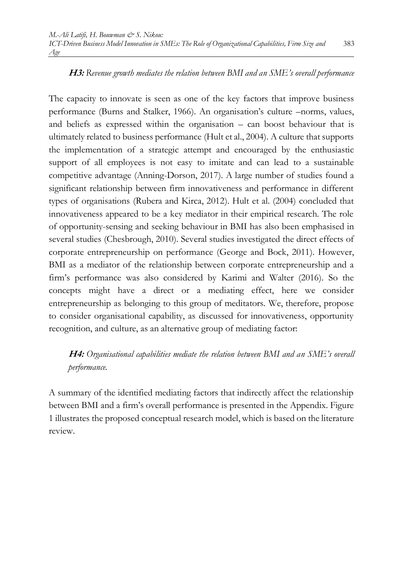**H3:** *Revenue growth mediates the relation between BMI and an SME's overall performance* 

The capacity to innovate is seen as one of the key factors that improve business performance (Burns and Stalker, 1966). An organisation's culture –norms, values, and beliefs as expressed within the organisation – can boost behaviour that is ultimately related to business performance (Hult et al., 2004). A culture that supports the implementation of a strategic attempt and encouraged by the enthusiastic support of all employees is not easy to imitate and can lead to a sustainable competitive advantage (Anning-Dorson, 2017). A large number of studies found a significant relationship between firm innovativeness and performance in different types of organisations (Rubera and Kirca, 2012). Hult et al. (2004) concluded that innovativeness appeared to be a key mediator in their empirical research. The role of opportunity-sensing and seeking behaviour in BMI has also been emphasised in several studies (Chesbrough, 2010). Several studies investigated the direct effects of corporate entrepreneurship on performance (George and Bock, 2011). However, BMI as a mediator of the relationship between corporate entrepreneurship and a firm's performance was also considered by Karimi and Walter (2016). So the concepts might have a direct or a mediating effect, here we consider entrepreneurship as belonging to this group of meditators. We, therefore, propose to consider organisational capability, as discussed for innovativeness, opportunity recognition, and culture, as an alternative group of mediating factor:

## **H4:** *Organisational capabilities mediate the relation between BMI and an SME's overall performance.*

A summary of the identified mediating factors that indirectly affect the relationship between BMI and a firm's overall performance is presented in the Appendix. Figure 1 illustrates the proposed conceptual research model, which is based on the literature review.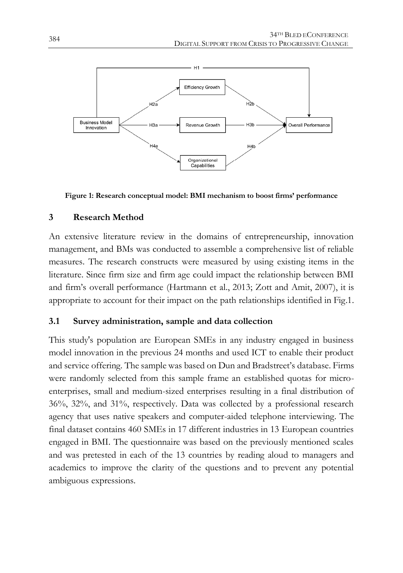

**Figure 1: Research conceptual model: BMI mechanism to boost firms' performance**

## **3 Research Method**

An extensive literature review in the domains of entrepreneurship, innovation management, and BMs was conducted to assemble a comprehensive list of reliable measures. The research constructs were measured by using existing items in the literature. Since firm size and firm age could impact the relationship between BMI and firm's overall performance (Hartmann et al., 2013; Zott and Amit, 2007), it is appropriate to account for their impact on the path relationships identified in Fig.1.

## **3.1 Survey administration, sample and data collection**

This study's population are European SMEs in any industry engaged in business model innovation in the previous 24 months and used ICT to enable their product and service offering. The sample was based on Dun and Bradstreet's database. Firms were randomly selected from this sample frame an established quotas for microenterprises, small and medium-sized enterprises resulting in a final distribution of 36%, 32%, and 31%, respectively. Data was collected by a professional research agency that uses native speakers and computer-aided telephone interviewing. The final dataset contains 460 SMEs in 17 different industries in 13 European countries engaged in BMI. The questionnaire was based on the previously mentioned scales and was pretested in each of the 13 countries by reading aloud to managers and academics to improve the clarity of the questions and to prevent any potential ambiguous expressions.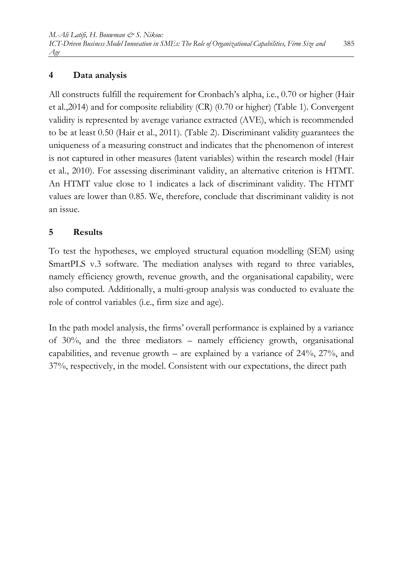## **4 Data analysis**

All constructs fulfill the requirement for Cronbach's alpha, i.e., 0.70 or higher (Hair et al.,2014) and for composite reliability (CR) (0.70 or higher) (Table 1). Convergent validity is represented by average variance extracted (AVE), which is recommended to be at least 0.50 (Hair et al., 2011). (Table 2). Discriminant validity guarantees the uniqueness of a measuring construct and indicates that the phenomenon of interest is not captured in other measures (latent variables) within the research model (Hair et al., 2010). For assessing discriminant validity, an alternative criterion is HTMT. An HTMT value close to 1 indicates a lack of discriminant validity. The HTMT values are lower than 0.85. We, therefore, conclude that discriminant validity is not an issue.

## **5 Results**

To test the hypotheses, we employed structural equation modelling (SEM) using SmartPLS v.3 software. The mediation analyses with regard to three variables, namely efficiency growth, revenue growth, and the organisational capability, were also computed. Additionally, a multi-group analysis was conducted to evaluate the role of control variables (i.e., firm size and age).

In the path model analysis, the firms' overall performance is explained by a variance of 30%, and the three mediators – namely efficiency growth, organisational capabilities, and revenue growth – are explained by a variance of 24%, 27%, and 37%, respectively, in the model. Consistent with our expectations, the direct path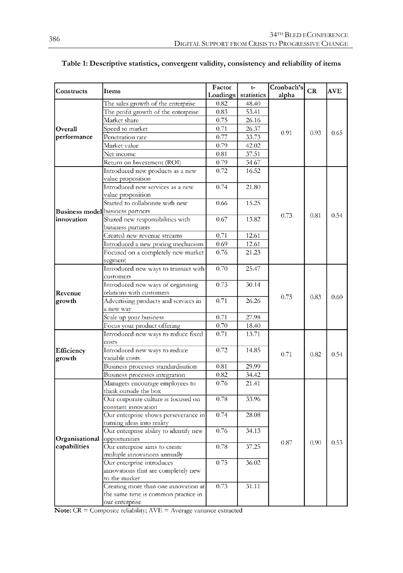| Constructs             | Items                                                         | Factor<br>Loadings | $t-$<br>statistics | Cronbach's<br>alpha | CR   | <b>AVE</b> |
|------------------------|---------------------------------------------------------------|--------------------|--------------------|---------------------|------|------------|
|                        | The sales growth of the enterprise                            | 0.82               | 48.40              |                     |      |            |
|                        | The profit growth of the enterprise                           | 0.83               | 53.41              |                     |      | 0.65       |
|                        | Market share                                                  | 0.75               | 26.16              |                     | 0.93 |            |
| Overall<br>performance | Speed to market                                               | 0.71               | 26.37              | 0.91                |      |            |
|                        | Penetration rate                                              | 0.77               | 33.73              |                     |      |            |
|                        | Market value                                                  | 0.79               | 42.02              |                     |      |            |
|                        | Net income                                                    | 0.81               | 37.51              |                     |      |            |
|                        | Return on Investment (ROI)                                    | 0.79               | 34.67              |                     |      |            |
|                        | Introduced new products as a new                              | 0.72               | 16.52              |                     |      |            |
|                        | value proposition                                             |                    |                    |                     |      |            |
|                        | Introduced new services as a new                              | 0.74               | 21.80              |                     |      |            |
|                        | value proposition                                             |                    |                    |                     |      |            |
|                        | Started to collaborate with new                               | 0.66               | 15.25              |                     |      |            |
|                        | <b>Business model</b> business partners                       |                    |                    |                     |      |            |
| innovation             | Shared new responsibilities with                              | 0.67               | 13.82              | 0.73                | 0.81 | 0.54       |
|                        | business partners                                             |                    |                    |                     |      |            |
|                        | Created new revenue streams                                   | 0.71               | 12.61              |                     |      |            |
|                        | Introduced a new pricing mechanism                            | 0.69               | 12.61              |                     |      |            |
|                        | Focused on a completely new market                            | 0.76               | 21.23              |                     |      |            |
|                        |                                                               |                    |                    |                     |      |            |
|                        | segment                                                       | 0.70               | 25.47              |                     | 0.83 | $0.60\,$   |
| Revenue<br>growth      | Introduced new ways to transact with                          |                    |                    | 0.75                |      |            |
|                        | customers                                                     | 0.73               | 30.14              |                     |      |            |
|                        | Introduced new ways of organising<br>relations with customers |                    |                    |                     |      |            |
|                        | Advertising products and services in                          | 0.71               | 26.26              |                     |      |            |
|                        | a new way                                                     |                    |                    |                     |      |            |
|                        | Scale up your business                                        | 0.71               | 27.98              |                     |      |            |
|                        | Focus your product offering                                   | 0.70               | 18.40              |                     |      |            |
|                        | Introduced new ways to reduce fixed                           | 0.71               | 13.71              |                     |      |            |
| Efficiency<br>growth   |                                                               |                    |                    | 0.71                | 0.82 | 0.54       |
|                        | costs<br>Introduced new ways to reduce                        | 0.72               | 14.85              |                     |      |            |
|                        | variable costs                                                |                    |                    |                     |      |            |
|                        | Business processes standardisation                            | 0.81               | 29.99              |                     |      |            |
|                        |                                                               | 0.82               | 34.42              |                     |      |            |
|                        | Business processes integration                                | 0.76               | 21.41              |                     |      |            |
|                        | Managers encourage employees to                               |                    |                    |                     |      |            |
|                        | think outside the box<br>Our corporate culture is focused on  | 0.78               | 33.96              |                     |      |            |
|                        | constant innovation                                           |                    |                    |                     |      |            |
|                        | Our enterprise shows perseverance in                          | 0.74               | 28.08              |                     |      |            |
|                        | turning ideas into reality                                    |                    |                    |                     |      |            |
|                        | Our enterprise ability to identify new                        | 0.76               | 34.13              |                     |      |            |
| Organisational         | opportunities                                                 |                    |                    |                     |      |            |
| capabilities           | Our enterprise aims to create                                 | 0.78               | 37.25              | 0.87                | 0.90 | 0.53       |
|                        | multiple innovations annually                                 |                    |                    |                     |      |            |
|                        | Our enterprise introduces                                     | 0.75               | 36.02              |                     |      |            |
|                        | innovations that are completely new                           |                    |                    |                     |      |            |
|                        | to the market                                                 |                    |                    |                     |      |            |
|                        | Creating more than one innovation at                          | 0.73               | 31.11              |                     |      |            |
|                        | the same time is common practice in                           |                    |                    |                     |      |            |
|                        | our enferorise -                                              |                    |                    |                     |      |            |

#### **Table 1: Descriptive statistics, convergent validity, consistency and reliability of items**

Note: CR = Composite reliability; AVE = Average variance extracted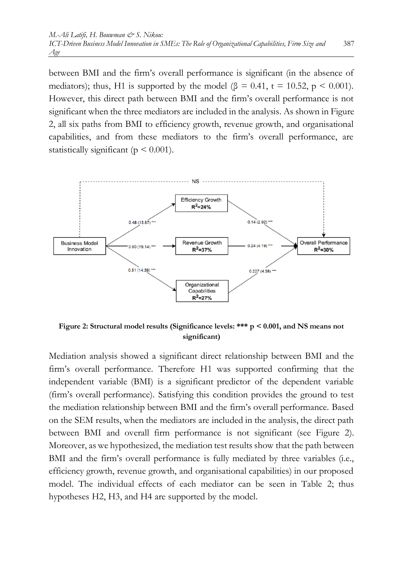between BMI and the firm's overall performance is significant (in the absence of mediators); thus, H1 is supported by the model ( $\beta = 0.41$ , t = 10.52, p < 0.001). However, this direct path between BMI and the firm's overall performance is not significant when the three mediators are included in the analysis. As shown in Figure 2, all six paths from BMI to efficiency growth, revenue growth, and organisational capabilities, and from these mediators to the firm's overall performance, are statistically significant ( $p < 0.001$ ).



**Figure 2: Structural model results (Significance levels: \*\*\* p < 0.001, and NS means not significant)**

Mediation analysis showed a significant direct relationship between BMI and the firm's overall performance. Therefore H1 was supported confirming that the independent variable (BMI) is a significant predictor of the dependent variable (firm's overall performance). Satisfying this condition provides the ground to test the mediation relationship between BMI and the firm's overall performance. Based on the SEM results, when the mediators are included in the analysis, the direct path between BMI and overall firm performance is not significant (see Figure 2). Moreover, as we hypothesized, the mediation test results show that the path between BMI and the firm's overall performance is fully mediated by three variables (i.e., efficiency growth, revenue growth, and organisational capabilities) in our proposed model. The individual effects of each mediator can be seen in Table 2; thus hypotheses H2, H3, and H4 are supported by the model.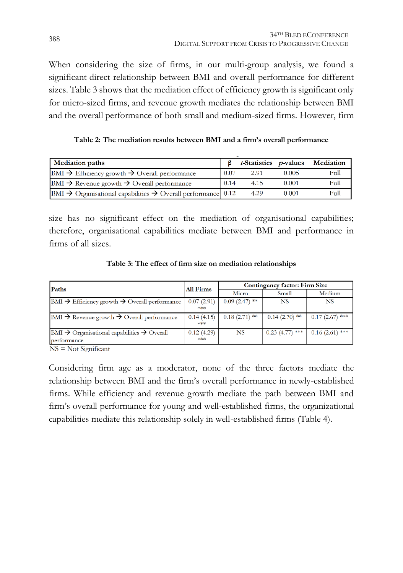When considering the size of firms, in our multi-group analysis, we found a significant direct relationship between BMI and overall performance for different sizes. Table 3 shows that the mediation effect of efficiency growth is significant only for micro-sized firms, and revenue growth mediates the relationship between BMI and the overall performance of both small and medium-sized firms. However, firm

**Table 2: The mediation results between BMI and a firm's overall performance**

| <b>Mediation paths</b>                                                                |      |      |       | <i>t</i> -Statistics <i>p</i> -values Mediation |
|---------------------------------------------------------------------------------------|------|------|-------|-------------------------------------------------|
| $BMI \rightarrow$ Efficiency growth $\rightarrow$ Overall performance                 | 0.07 | 2.91 | 0.005 | Full                                            |
| $BMI \rightarrow$ Revenue growth $\rightarrow$ Overall performance                    | 0.14 | 4.15 | 0.001 | Full                                            |
| $ BMI \rightarrow$ Organisational capabilities $\rightarrow$ Overall performance 0.12 |      | 4.29 | 0.001 | Full                                            |

size has no significant effect on the mediation of organisational capabilities; therefore, organisational capabilities mediate between BMI and performance in firms of all sizes.

**Table 3: The effect of firm size on mediation relationships**

| Paths                                                                         | <b>All Firms</b> | Contingency factor: Firm Size |                   |                  |  |
|-------------------------------------------------------------------------------|------------------|-------------------------------|-------------------|------------------|--|
|                                                                               |                  | Micro                         | Small             | Medium           |  |
| $\vert$ BMI $\rightarrow$ Efficiency growth $\rightarrow$ Overall performance | 0.07(2.91)       | $0.09(2.47)$ **               | <b>NS</b>         | <b>NS</b>        |  |
|                                                                               | $***$            |                               |                   |                  |  |
| $\vert$ BMI $\rightarrow$ Revenue growth $\rightarrow$ Overall performance    | 0.14(4.15)       | $0.18(2.71)$ **               | $0.14(2.70)$ **   | $0.17(2.67)$ *** |  |
|                                                                               | $***$            |                               |                   |                  |  |
| $BM \rightarrow$ Organisational capabilities $\rightarrow$ Overall            | 0.12(4.29)       | <b>NS</b>                     | $0.23$ (4.77) *** | $0.16(2.61)$ *** |  |
| performance                                                                   | $****$           |                               |                   |                  |  |
| $\sim$ $\sim$ $\sim$<br>$\sim$ $\sim$ $\sim$                                  |                  |                               |                   |                  |  |

 $NS = Not$  Significant

Considering firm age as a moderator, none of the three factors mediate the relationship between BMI and the firm's overall performance in newly-established firms. While efficiency and revenue growth mediate the path between BMI and firm's overall performance for young and well-established firms, the organizational capabilities mediate this relationship solely in well-established firms (Table 4).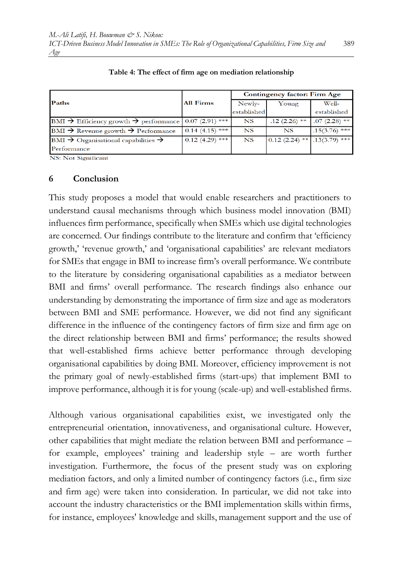|                                                                                                    |                   | Contingency factor: Firm Age |                 |                 |  |
|----------------------------------------------------------------------------------------------------|-------------------|------------------------------|-----------------|-----------------|--|
| Paths                                                                                              | All Firms         | Newly-                       | Young           | Well-           |  |
|                                                                                                    |                   | established                  |                 | established     |  |
| $\text{BMI} \rightarrow \text{Efficiency growth} \rightarrow \text{performance}$   0.07 (2.91) *** |                   | <b>NS</b>                    | $.12(2.26)$ **  | $.07(2.28)$ **  |  |
| BMI $\rightarrow$ Revenue growth $\rightarrow$ Performance                                         | $0.14(4.15)$ ***  | NS                           | NS              | $.15(3.76)$ *** |  |
| BMI $\rightarrow$ Organisational capabilities $\rightarrow$                                        | $0.12$ (4.29) *** | <b>NS</b>                    | $0.12(2.24)$ ** | $.13(3.79)$ *** |  |
| Performance                                                                                        |                   |                              |                 |                 |  |

**Table 4: The effect of firm age on mediation relationship**

NS: Not Significant

#### **6 Conclusion**

This study proposes a model that would enable researchers and practitioners to understand causal mechanisms through which business model innovation (BMI) influences firm performance, specifically when SMEs which use digital technologies are concerned. Our findings contribute to the literature and confirm that 'efficiency growth,' 'revenue growth,' and 'organisational capabilities' are relevant mediators for SMEs that engage in BMI to increase firm's overall performance. We contribute to the literature by considering organisational capabilities as a mediator between BMI and firms' overall performance. The research findings also enhance our understanding by demonstrating the importance of firm size and age as moderators between BMI and SME performance. However, we did not find any significant difference in the influence of the contingency factors of firm size and firm age on the direct relationship between BMI and firms' performance; the results showed that well-established firms achieve better performance through developing organisational capabilities by doing BMI. Moreover, efficiency improvement is not the primary goal of newly-established firms (start-ups) that implement BMI to improve performance, although it is for young (scale-up) and well-established firms.

Although various organisational capabilities exist, we investigated only the entrepreneurial orientation, innovativeness, and organisational culture. However, other capabilities that might mediate the relation between BMI and performance – for example, employees' training and leadership style – are worth further investigation. Furthermore, the focus of the present study was on exploring mediation factors, and only a limited number of contingency factors (i.e., firm size and firm age) were taken into consideration. In particular, we did not take into account the industry characteristics or the BMI implementation skills within firms, for instance, employees' knowledge and skills, management support and the use of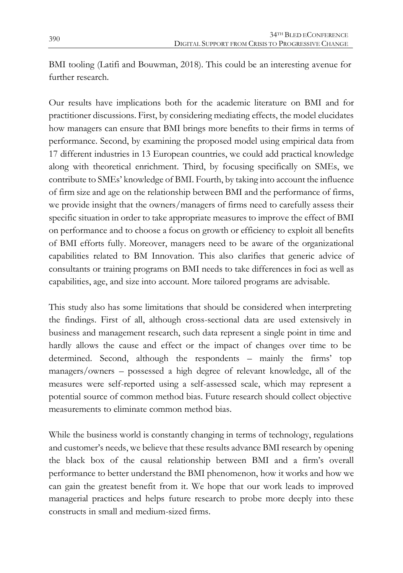BMI tooling (Latifi and Bouwman, 2018). This could be an interesting avenue for further research.

Our results have implications both for the academic literature on BMI and for practitioner discussions. First, by considering mediating effects, the model elucidates how managers can ensure that BMI brings more benefits to their firms in terms of performance. Second, by examining the proposed model using empirical data from 17 different industries in 13 European countries, we could add practical knowledge along with theoretical enrichment. Third, by focusing specifically on SMEs, we contribute to SMEs' knowledge of BMI. Fourth, by taking into account the influence of firm size and age on the relationship between BMI and the performance of firms, we provide insight that the owners/managers of firms need to carefully assess their specific situation in order to take appropriate measures to improve the effect of BMI on performance and to choose a focus on growth or efficiency to exploit all benefits of BMI efforts fully. Moreover, managers need to be aware of the organizational capabilities related to BM Innovation. This also clarifies that generic advice of consultants or training programs on BMI needs to take differences in foci as well as capabilities, age, and size into account. More tailored programs are advisable.

This study also has some limitations that should be considered when interpreting the findings. First of all, although cross-sectional data are used extensively in business and management research, such data represent a single point in time and hardly allows the cause and effect or the impact of changes over time to be determined. Second, although the respondents – mainly the firms' top managers/owners – possessed a high degree of relevant knowledge, all of the measures were self-reported using a self-assessed scale, which may represent a potential source of common method bias. Future research should collect objective measurements to eliminate common method bias.

While the business world is constantly changing in terms of technology, regulations and customer's needs, we believe that these results advance BMI research by opening the black box of the causal relationship between BMI and a firm's overall performance to better understand the BMI phenomenon, how it works and how we can gain the greatest benefit from it. We hope that our work leads to improved managerial practices and helps future research to probe more deeply into these constructs in small and medium-sized firms.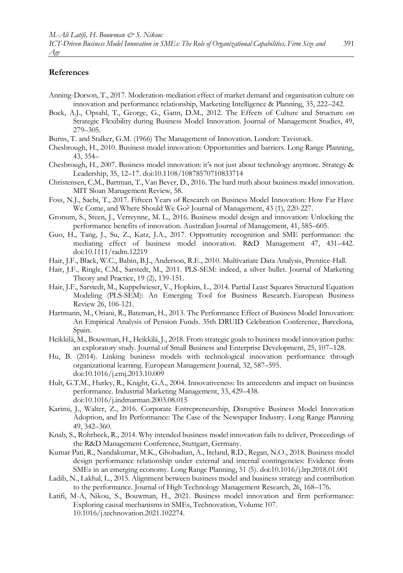#### **References**

- Anning-Dorson, T., 2017. Moderation-mediation effect of market demand and organisation culture on innovation and performance relationship, Marketing Intelligence & Planning, 35, 222–242.
- Bock, A.J., Opsahl, T., George, G., Gann, D.M., 2012. The Effects of Culture and Structure on Strategic Flexibility during Business Model Innovation. Journal of Management Studies, 49, 279–305.
- Burns, T. and Stalker, G.M. (1966) The Management of Innovation. London: Tavistock.
- Chesbrough, H., 2010. Business model innovation: Opportunities and barriers. Long Range Planning, 43, 354–
- Chesbrough, H., 2007. Business model innovation: it's not just about technology anymore. Strategy & Leadership, 35, 12–17. doi:10.1108/10878570710833714
- Christensen, C.M., Bartman, T., Van Bever, D., 2016. The hard truth about business model innovation. MIT Sloan Management Review, 58.
- Foss, N.J., Saebi, T., 2017. Fifteen Years of Research on Business Model Innovation: How Far Have We Come, and Where Should We Go? Journal of Management, 43 (1), 220-227.
- Gronum, S., Steen, J., Verreynne, M. L., 2016. Business model design and innovation: Unlocking the performance benefits of innovation. Australian Journal of Management, 41, 585–605.
- Guo, H., Tang, J., Su, Z., Katz, J.A., 2017. Opportunity recognition and SME performance: the mediating effect of business model innovation. R&D Management 47, 431–442. doi:10.1111/radm.12219
- Hair, J.F., Black, W.C., Babin, B.J., Anderson, R.E., 2010. Multivariate Data Analysis, Prentice-Hall.
- Hair, J.F., Ringle, C.M., Sarstedt, M., 2011. PLS-SEM: indeed, a silver bullet. Journal of Marketing Theory and Practice, 19 (2), 139-151.
- Hair, J.F., Sarstedt, M., Kuppelwieser, V., Hopkins, L., 2014. Partial Least Squares Structural Equation Modeling (PLS-SEM): An Emerging Tool for Business Research. European Business Review 26, 106-121.
- Hartmann, M., Oriani, R., Bateman, H., 2013. The Performance Effect of Business Model Innovation: An Empirical Analysis of Pension Funds. 35th DRUID Celebration Conference, Barcelona, Spain.
- Heikkilä, M., Bouwman, H., Heikkilä, J., 2018. From strategic goals to business model innovation paths: an exploratory study. Journal of Small Business and Enterprise Development, 25, 107–128.
- Hu, B. (2014). Linking business models with technological innovation performance through organizational learning. European Management Journal, 32, 587–595. doi:10.1016/j.emj.2013.10.009
- Hult, G.T.M., Hurley, R., Knight, G.A., 2004. Innovativeness: Its antecedents and impact on business performance. Industrial Marketing Management, 33, 429–438. doi:10.1016/j.indmarman.2003.08.015
- Karimi, J., Walter, Z., 2016. Corporate Entrepreneurship, Disruptive Business Model Innovation Adoption, and Its Performance: The Case of the Newspaper Industry. Long Range Planning 49, 342–360.
- Knab, S., Rohrbeck, R., 2014. Why intended business model innovation fails to deliver, Proceedings of the R&D Management Conference, Stuttgart, Germany.
- Kumar Pati, R., Nandakumar, M.K., Ghobadian, A., Ireland, R.D., Regan, N.O., 2018. Business model design performance relationship under external and internal contingencies: Evidence from SMEs in an emerging economy. Long Range Planning, 51 (5). doi:10.1016/j.lrp.2018.01.001
- Ladib, N., Lakhal, L., 2015. Alignment between business model and business strategy and contribution to the performance. Journal of High Technology Management Research, 26, 168–176.
- Latifi, M-A, Nikou, S., Bouwman, H., 2021. Business model innovation and firm performance: Exploring causal mechanisms in SMEs, Technovation, Volume 107. 10.1016/j.technovation.2021.102274.